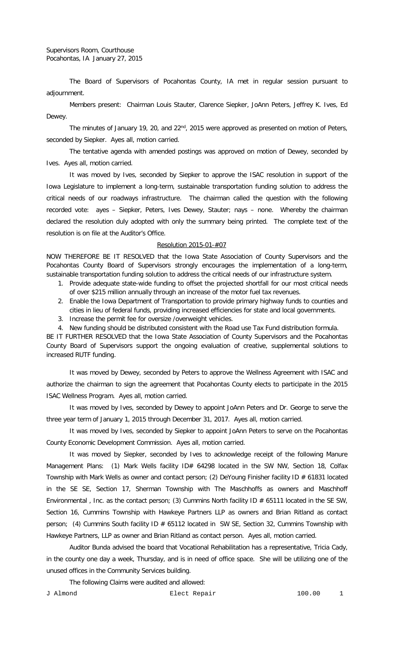The Board of Supervisors of Pocahontas County, IA met in regular session pursuant to adjournment.

Members present: Chairman Louis Stauter, Clarence Siepker, JoAnn Peters, Jeffrey K. Ives, Ed Dewey.

The minutes of January 19, 20, and 22<sup>nd</sup>, 2015 were approved as presented on motion of Peters, seconded by Siepker. Ayes all, motion carried.

The tentative agenda with amended postings was approved on motion of Dewey, seconded by Ives. Ayes all, motion carried.

It was moved by Ives, seconded by Siepker to approve the ISAC resolution in support of the Iowa Legislature to implement a long-term, sustainable transportation funding solution to address the critical needs of our roadways infrastructure. The chairman called the question with the following recorded vote: ayes – Siepker, Peters, Ives Dewey, Stauter; nays – none. Whereby the chairman declared the resolution duly adopted with only the summary being printed. The complete text of the resolution is on file at the Auditor's Office.

## Resolution 2015-01-#07

NOW THEREFORE BE IT RESOLVED that the Iowa State Association of County Supervisors and the Pocahontas County Board of Supervisors strongly encourages the implementation of a long-term, sustainable transportation funding solution to address the critical needs of our infrastructure system.

- 1. Provide adequate state-wide funding to offset the projected shortfall for our most critical needs of over \$215 million annually through an increase of the motor fuel tax revenues.
- 2. Enable the Iowa Department of Transportation to provide primary highway funds to counties and cities in lieu of federal funds, providing increased efficiencies for state and local governments.
- 3. Increase the permit fee for oversize /overweight vehicles.

4. New funding should be distributed consistent with the Road use Tax Fund distribution formula.

BE IT FURTHER RESOLVED that the Iowa State Association of County Supervisors and the Pocahontas County Board of Supervisors support the ongoing evaluation of creative, supplemental solutions to increased RUTF funding.

It was moved by Dewey, seconded by Peters to approve the Wellness Agreement with ISAC and authorize the chairman to sign the agreement that Pocahontas County elects to participate in the 2015 ISAC Wellness Program. Ayes all, motion carried.

It was moved by Ives, seconded by Dewey to appoint JoAnn Peters and Dr. George to serve the three year term of January 1, 2015 through December 31, 2017. Ayes all, motion carried.

It was moved by Ives, seconded by Siepker to appoint JoAnn Peters to serve on the Pocahontas County Economic Development Commission. Ayes all, motion carried.

It was moved by Siepker, seconded by Ives to acknowledge receipt of the following Manure Management Plans: (1) Mark Wells facility ID# 64298 located in the SW NW, Section 18, Colfax Township with Mark Wells as owner and contact person; (2) DeYoung Finisher facility ID # 61831 located in the SE SE, Section 17, Sherman Township with The Maschhoffs as owners and Maschhoff Environmental, Inc. as the contact person; (3) Cummins North facility ID  $#$  65111 located in the SE SW, Section 16, Cummins Township with Hawkeye Partners LLP as owners and Brian Ritland as contact person; (4) Cummins South facility ID # 65112 located in SW SE, Section 32, Cummins Township with Hawkeye Partners, LLP as owner and Brian Ritland as contact person. Ayes all, motion carried.

Auditor Bunda advised the board that Vocational Rehabilitation has a representative, Tricia Cady, in the county one day a week, Thursday, and is in need of office space. She will be utilizing one of the unused offices in the Community Services building.

The following Claims were audited and allowed: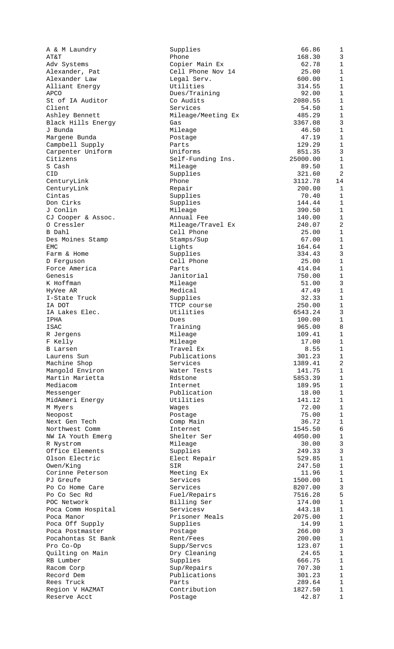| A & M Laundry      | Supplies           | 66.86    | $\mathbf 1$    |
|--------------------|--------------------|----------|----------------|
|                    |                    |          |                |
| AT&T               | Phone              | 168.30   | $\overline{3}$ |
| Adv Systems        | Copier Main Ex     | 62.78    | $1\,$          |
| Alexander, Pat     | Cell Phone Nov 14  | 25.00    | $\mathbf 1$    |
| Alexander Law      | Legal Serv.        | 600.00   | $\mathbf{1}$   |
| Alliant Energy     | Utilities          | 314.55   | $1\,$          |
| APCO               | Dues/Training      | 92.00    | $\mathbf{1}$   |
| St of IA Auditor   | Co Audits          | 2080.55  | $\mathbf{1}$   |
|                    |                    |          |                |
| Client             | Services           | 54.50    | $\mathbf{1}$   |
| Ashley Bennett     | Mileage/Meeting Ex | 485.29   | $\mathbf{1}$   |
| Black Hills Energy | Gas                | 3367.08  | 3              |
| J Bunda            | Mileage            | 46.50    | $\mathbf{1}$   |
| Margene Bunda      | Postage            | 47.19    | $1\,$          |
|                    |                    |          | $\mathbf{1}$   |
| Campbell Supply    | Parts              | 129.29   |                |
| Carpenter Uniform  | Uniforms           | 851.35   | 3              |
| Citizens           | Self-Funding Ins.  | 25000.00 | $\mathbf{1}$   |
| S Cash             | Mileage            | 89.50    | $\mathbf{1}$   |
| CID                | Supplies           | 321.60   | $\overline{a}$ |
| CenturyLink        | Phone              | 3112.78  | 14             |
|                    |                    |          |                |
| CenturyLink        | Repair             | 200.00   | $\mathbf{1}$   |
| Cintas             | Supplies           | 70.40    | $\mathbf{1}$   |
| Don Cirks          | Supplies           | 144.44   | $\mathbf{1}$   |
| J Conlin           | Mileage            | 390.50   | $\mathbf{1}$   |
| CJ Cooper & Assoc. | Annual Fee         | 140.00   | $1\,$          |
| 0 Cressler         | Mileage/Travel Ex  | 240.07   | $\overline{a}$ |
|                    |                    |          |                |
| B Dahl             | Cell Phone         | 25.00    | $\mathbf{1}$   |
| Des Moines Stamp   | Stamps/Sup         | 67.00    | $\mathbf{1}$   |
| EMC                | Lights             | 164.64   | $\mathbf{1}$   |
| Farm & Home        | Supplies           | 334.43   | 3              |
| D Ferguson         | Cell Phone         | 25.00    | $\mathbf{1}$   |
|                    |                    |          |                |
| Force America      | Parts              | 414.04   | $1\,$          |
| Genesis            | Janitorial         | 750.00   | $1\,$          |
| K Hoffman          | Mileage            | 51.00    | 3              |
| HyVee AR           | Medical            | 47.49    | $\mathbf{1}$   |
| I-State Truck      | Supplies           | 32.33    | $\mathbf{1}$   |
| IA DOT             | TTCP course        | 250.00   | $\mathbf{1}$   |
|                    |                    |          |                |
| IA Lakes Elec.     | Utilities          | 6543.24  | 3              |
| IPHA               | Dues               | 100.00   | $1\,$          |
| ISAC               | Training           | 965.00   | 8              |
| R Jergens          | Mileage            | 109.41   | $\mathbf{1}$   |
| F Kelly            | Mileage            | 17.00    | $\mathbf{1}$   |
| <b>B</b> Larsen    | Travel Ex          |          |                |
|                    |                    | 8.55     | $\mathbf 1$    |
| Laurens Sun        | Publications       | 301.23   | $\mathbf 1$    |
| Machine Shop       | Services           | 1389.41  | $\overline{a}$ |
| Mangold Environ    | Water Tests        | 141.75   | $\mathbf{1}$   |
| Martin Marietta    | Rdstone            | 5853.39  | $\mathbf{1}$   |
| Mediacom           | Internet           |          | $1\,$          |
|                    |                    | 189.95   |                |
| Messenger          | Publication        | 18.00    | $1\,$          |
| MidAmeri Energy    | Utilities          | 141.12   | $1\,$          |
| M Myers            | Waqes              | 72.00    | $\mathbf{1}$   |
| Neopost            | Postage            | 75.00    | $1\,$          |
| Next Gen Tech      | Comp Main          | 36.72    | $1\,$          |
|                    |                    |          |                |
| Northwest Comm     | Internet           | 1545.50  | $\overline{6}$ |
| NW IA Youth Emerg  | Shelter Ser        | 4050.00  | $\mathbf{1}$   |
| R Nystrom          | Mileage            | 30.00    | 3              |
| Office Elements    | Supplies           | 249.33   | 3              |
| Olson Electric     | Elect Repair       | 529.85   | $1\,$          |
| Owen/King          | SIR                | 247.50   | $1\,$          |
|                    |                    |          |                |
| Corinne Peterson   | Meeting Ex         | 11.96    | $1\,$          |
| PJ Greufe          | Services           | 1500.00  | $1\,$          |
| Po Co Home Care    | Services           | 8207.00  | $\overline{3}$ |
| Po Co Sec Rd       | Fuel/Repairs       | 7516.28  | 5              |
| POC Network        | Billing Ser        | 174.00   | $\mathbf{1}$   |
|                    |                    |          |                |
| Poca Comm Hospital | Servicesv          | 443.18   | $1\,$          |
| Poca Manor         | Prisoner Meals     | 2075.00  | $\mathbf{1}$   |
| Poca Off Supply    | Supplies           | 14.99    | $1\,$          |
| Poca Postmaster    | Postage            | 266.00   | 3              |
| Pocahontas St Bank | Rent/Fees          | 200.00   | $\mathbf 1$    |
| Pro Co-Op          | Supp/Servcs        | 123.07   | $1\,$          |
|                    |                    |          |                |
| Quilting on Main   | Dry Cleaning       | 24.65    | $1\,$          |
| RB Lumber          | Supplies           | 666.75   | $1\,$          |
| Racom Corp         | Sup/Repairs        | 707.30   | $\mathbf{1}$   |
| Record Dem         | Publications       | 301.23   | $\mathbf{1}$   |
| Rees Truck         | Parts              | 289.64   | $\mathbf 1$    |
| Region V HAZMAT    | Contribution       | 1827.50  | $\mathbf 1$    |
|                    |                    |          |                |
| Reserve Acct       | Postage            | 42.87    | $\mathbf{1}$   |
|                    |                    |          |                |